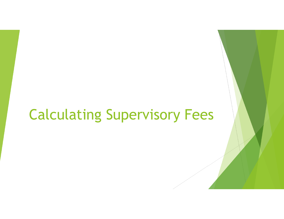# Calculating Supervisory Fees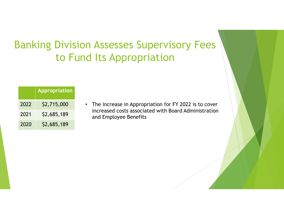# Banking Division Assesses Supervisory Fees to Fund Its Appropriation

|      | <b>Appropriation</b> |
|------|----------------------|
| 2022 | \$2,715,000          |
| 2021 | \$2,685,189          |
| 2020 | \$2,685,189          |

• The increase in Appropriation for FY 2022 is to cover increased costs associated with Board Administration and Employee Benefits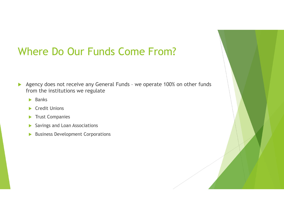### Where Do Our Funds Come From?

- $\blacktriangleright$  Agency does not receive any General Funds – we operate 100% on other funds from the institutions we regulate
	- **Banks**
	- ▶ Credit Unions
	- **Trust Companies**
	- Savings and Loan Associations
	- $\blacktriangleright$ Business Development Corporations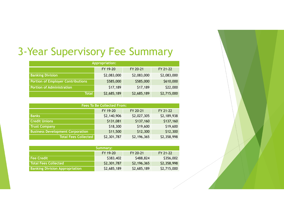# 3-Year Supervisory Fee Summary

| <b>Appropriation:</b>                    |             |             |             |  |  |
|------------------------------------------|-------------|-------------|-------------|--|--|
| FY 19-20<br>FY 21-22<br>FY 20-21         |             |             |             |  |  |
| <b>Banking Division</b>                  | \$2,083,000 | \$2,083,000 | \$2,083,000 |  |  |
| <b>Portion of Employer Contributions</b> | \$585,000   | \$585,000   | \$610,000   |  |  |
| <b>Portion of Administration</b>         | \$17,189    | \$17,189    | \$22,000    |  |  |
| <b>Total</b>                             | \$2,685,189 | \$2,685,189 | \$2,715,000 |  |  |

| <b>Fees To Be Collected From:</b>       |             |             |             |  |  |
|-----------------------------------------|-------------|-------------|-------------|--|--|
| FY 21-22<br>FY 19-20<br>FY 20-21        |             |             |             |  |  |
| <b>Banks</b>                            | \$2,140,906 | \$2,027,305 | \$2,189,938 |  |  |
| <b>Credit Unions</b>                    | \$131,081   | \$137,160   | \$137,160   |  |  |
| <b>Trust Company</b>                    | \$18,300    | \$19,600    | \$19,600    |  |  |
| <b>Business Development Corporation</b> | \$11,500    | \$12,300    | \$12,300    |  |  |
| <b>Total Fees Collected</b>             | \$2,301,787 | \$2,196,365 | \$2,358,998 |  |  |

| Summary:                              |             |             |             |  |
|---------------------------------------|-------------|-------------|-------------|--|
|                                       | FY 19-20    | FY 20-21    | FY 21-22    |  |
| <b>Fee Credit</b>                     | \$383,402   | \$488,824   | \$356,002   |  |
| <b>Total Fees Collected</b>           | \$2,301,787 | \$2,196,365 | \$2,358,998 |  |
| <b>Banking Division Appropriation</b> | \$2,685,189 | \$2,685,189 | \$2,715,000 |  |

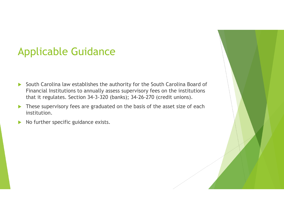## Applicable Guidance

- $\blacktriangleright$  South Carolina law establishes the authority for the South Carolina Board of Financial Institutions to annually assess supervisory fees on the institutions that it regulates. Section 34-3-320 (banks); 34-26-270 (credit unions).
- $\blacktriangleright$  These supervisory fees are graduated on the basis of the asset size of each institution.
- $\blacktriangleright$ No further specific guidance exists.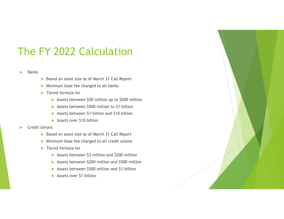# The FY 2022 Calculation

### Ы Banks

- Based on asset size as of March 31 Call Report
- **Minimum base fee charged to all banks**
- ▶ Tiered formula for
	- **Assets between \$50 million up to \$500 million**
	- Assets between \$500 million to \$1 billion
	- **Assets between \$1 billion and \$10 billion**
	- Assets over \$10 billion
- ь Credit Unions
	- ▶ Based on asset size as of March 31 Call Report
	- **Minimum base fee charged to all credit unions**
	- ▶ Tiered formula for
		- ▶ Assets between \$3 million and \$200 million
		- **Assets between \$200 million and \$500 million**
		- **Assets between \$500 million and \$1 billion**
		- Assets over \$1 billion

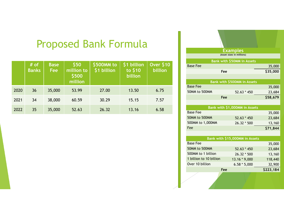### Proposed Bank Formula

|      | # of<br><b>Banks</b> | <b>Base</b><br><b>Fee</b> | \$50<br>million to<br>\$500<br>million | \$500MM to<br>\$1 billion | \$1 billion<br>to \$10<br>billion | <b>Over \$10</b><br>billion |
|------|----------------------|---------------------------|----------------------------------------|---------------------------|-----------------------------------|-----------------------------|
| 2020 | 36                   | 35,000                    | 53.99                                  | 27.00                     | 13.50                             | 6.75                        |
| 2021 | 34                   | 38,000                    | 60.59                                  | 30.29                     | 15.15                             | 7.57                        |
| 2022 | 35                   | 35,000                    | 52.63                                  | 26.32                     | 13.16                             | 6.58                        |



Over 10 billion6.58 \* 5,000 32,900

**Fee \$223,184**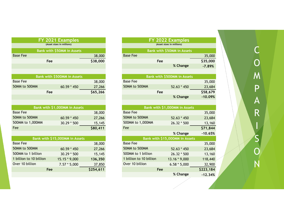| FY 2021 Examples        |                                |          |  |  |  |
|-------------------------|--------------------------------|----------|--|--|--|
|                         | (Asset sizes in millions)      |          |  |  |  |
|                         | Bank with \$50MM in Assets     |          |  |  |  |
| <b>Base Fee</b>         |                                | 38,000   |  |  |  |
| Fee                     |                                | \$38,000 |  |  |  |
|                         |                                |          |  |  |  |
|                         |                                |          |  |  |  |
|                         | Bank with \$500MM in Assets    |          |  |  |  |
| <b>Base Fee</b>         |                                | 38,000   |  |  |  |
| 50MM to 500MM           | 60.59 * 450                    | 27,266   |  |  |  |
| Fee                     |                                | \$65,266 |  |  |  |
|                         |                                |          |  |  |  |
|                         |                                |          |  |  |  |
|                         | Bank with \$1,000MM in Assets  |          |  |  |  |
| <b>Base Fee</b>         |                                | 38,000   |  |  |  |
| 50MM to 500MM           | $60.59 * 450$                  | 27,266   |  |  |  |
| 500MM to 1,000MM        | 30.29 * 500                    | 15,145   |  |  |  |
| Fee                     |                                | \$80,411 |  |  |  |
|                         |                                |          |  |  |  |
|                         | Bank with \$15,000MM in Assets |          |  |  |  |
|                         |                                |          |  |  |  |
| <b>Base Fee</b>         |                                | 38,000   |  |  |  |
| 50MM to 500MM           | $60.59 * 450$                  | 27,266   |  |  |  |
| 500MM to 1 billion      | 30.29 * 500                    | 15,145   |  |  |  |
| 1 billion to 10 billion | 15.15 * 9,000                  | 136,350  |  |  |  |
| Over 10 billion         | $7.57 * 5,000$                 | 37,850   |  |  |  |

| <b>FY 2022 Examples</b>   |                                    |           |  |
|---------------------------|------------------------------------|-----------|--|
| (Asset sizes in millions) |                                    |           |  |
|                           | Bank with \$50MM in Assets         |           |  |
| <b>Base Fee</b>           |                                    | 35,000    |  |
| Fee                       |                                    | \$35,000  |  |
|                           | % Change                           | $-7.89%$  |  |
|                           |                                    |           |  |
|                           | <b>Bank with \$500MM in Assets</b> |           |  |
| Base Fee                  |                                    | 35,000    |  |
| 50MM to 500MM             | $52.63 * 450$                      | 23,684    |  |
| Fee                       |                                    | \$58,679  |  |
|                           | % Change                           | $-10.09%$ |  |
|                           |                                    |           |  |
|                           | Bank with \$1,000MM in Assets      |           |  |
| Base Fee                  |                                    | 35,000    |  |
| <b>PAILLE PAALL</b>       |                                    |           |  |

| <b>Base Fee</b>         |                                | 35,000    |
|-------------------------|--------------------------------|-----------|
| 50MM to 500MM           | $52.63 * 450$                  | 23,684    |
| 500MM to 1,000MM        | 26.32 * 500                    | 13,160    |
| Fee                     |                                | \$71,844  |
|                         | % Change                       | $-10.65%$ |
|                         | Bank with \$15,000MM in Assets |           |
| <b>Base Fee</b>         |                                | 35,000    |
| 50MM to 500MM           | $52.63 * 450$                  | 23,684    |
| 500MM to 1 billion      | 26.32 * 500                    | 13,160    |
| 1 billion to 10 billion | 13.16 * 9,000                  | 118,440   |
| Over 10 billion         | $6.58 * 5,000$                 | 32,900    |
| Fee                     |                                | \$223,184 |
|                         | % Change                       | $-12.34%$ |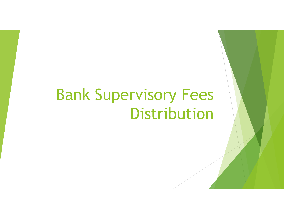# Bank Supervisory Fees Distribution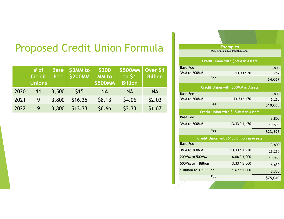# Proposed Credit Union Formula

|      | $#$ of<br><b>Credit</b><br>Unions | <b>Base</b><br><b>Fee</b> | S3MM to<br><b>\$200MM</b> | \$200<br><b>MM</b> to<br><b>\$500MM</b> | $\frac{1}{2}$ \$500MM $\frac{1}{2}$ Over \$1<br>to \$1<br><b>Billion</b> | <b>Billion</b> |
|------|-----------------------------------|---------------------------|---------------------------|-----------------------------------------|--------------------------------------------------------------------------|----------------|
| 2020 | 11                                | 3,500                     | \$15                      | <b>NA</b>                               | <b>NA</b>                                                                | <b>NA</b>      |
| 2021 | 9                                 | 3,800                     | \$16.25                   | \$8.13                                  | \$4.06                                                                   | \$2.03         |
| 2022 | 9                                 | 3,800                     | \$13.33                   | \$6.66                                  | \$3.33                                                                   | \$1.67         |

**Examples (Asset sizes in hundred thousands)**

|                          | <b>Credit Union with \$5MM in Assets</b>  |          |
|--------------------------|-------------------------------------------|----------|
| <b>Base Fee</b>          |                                           | 3,800    |
| 3MM to 200MM             | $13.33 * 20$                              | 267      |
| Fee                      |                                           | \$4,067  |
|                          | Credit Union with \$50MM in Assets        |          |
| <b>Base Fee</b>          |                                           | 3,800    |
| 3MM to 200MM             | 13.33 * 470                               | 6,265    |
| Fee                      |                                           | \$10,065 |
|                          | Credit Union with \$150MM in Assets       |          |
| <b>Base Fee</b>          |                                           | 3,800    |
| 3MM to 200MM             | 13.33 * 1,470                             | 19,595   |
| Fee                      |                                           | \$23,395 |
|                          | Credit Union with \$1.5 Billion in Assets |          |
| <b>Base Fee</b>          |                                           | 3,800    |
| 3MM to 200MM             | 13.33 * 1,970                             | 26,260   |
| 200MM to 500MM           | $6.66 * 3,000$                            | 19,980   |
| 500MM to 1 Billion       | $3.33 * 5,000$                            | 16,650   |
| 1 Billion to 1.5 Billion | $1.67 * 5,000$                            | 8,350    |
| Fee                      |                                           | \$75,040 |
|                          |                                           |          |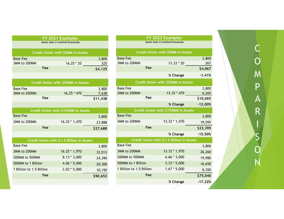| FY 2021 Examples<br>(Asset sizes in hundred thousands) |                                           |          |  |
|--------------------------------------------------------|-------------------------------------------|----------|--|
|                                                        | <b>Credit Union with \$5MM in Assets</b>  |          |  |
| <b>Base Fee</b>                                        |                                           | 3,800    |  |
| 3MM to 200MM                                           | $16.25 * 20$                              | 325      |  |
| Fee                                                    |                                           | \$4,125  |  |
|                                                        |                                           |          |  |
|                                                        | <b>Credit Union with \$50MM in Assets</b> |          |  |
| <b>Base Fee</b>                                        |                                           | 3,800    |  |
| 3MM to 200MM                                           | 16.25 * 470                               | 7,638    |  |
| Fee                                                    |                                           | \$11,438 |  |
|                                                        |                                           |          |  |
|                                                        | Credit Union with \$150MM in Assets       |          |  |
| <b>Base Fee</b>                                        |                                           | 3,800    |  |
| 3MM to 200MM                                           | 16.25 * 1,470                             | 23.888   |  |
| Fee                                                    |                                           | \$27,688 |  |
|                                                        |                                           |          |  |
|                                                        | Credit Union with \$1.5 Billion in Assets |          |  |
| <b>Base Fee</b>                                        |                                           | 3,800    |  |
| 3MM to 200MM                                           | 16.25 * 1,970                             | 32,013   |  |
| 200MM to 500MM                                         | $8.13 * 3,000$                            | 24,390   |  |
| 500MM to 1 Billion                                     | 4.06 * 5,000                              | 20,300   |  |
| 1 Billion to 1.5 Billion                               | $2.03 * 5,000$                            | 10,150   |  |

**Fee**

**\$90,653**

|                          | <u>FY 2022 Examples</u>                   |           |
|--------------------------|-------------------------------------------|-----------|
|                          | (Asset sizes in hundred thousands)        |           |
|                          | <b>Credit Union with \$5MM in Assets</b>  |           |
| <b>Base Fee</b>          |                                           | 3,800     |
| 3MM to 200MM             | 13.33 * 20                                | 267       |
| Fee                      |                                           | \$4,067   |
|                          | % Change                                  | $-1.41%$  |
|                          | Credit Union with \$50MM in Assets        |           |
| <b>Base Fee</b>          |                                           | 3,800     |
| 3MM to 200MM             | 13.33 * 470                               | 6,265     |
| Fee                      |                                           | \$10,065  |
|                          | % Change                                  | $-12.00%$ |
|                          | Credit Union with \$150MM in Assets       |           |
| <b>Base Fee</b>          |                                           | 3,800     |
| 3MM to 200MM             | 13.33 * 1,470                             | 19,595    |
| Fee                      |                                           | \$23,395  |
|                          | % Change                                  | $-15.50%$ |
|                          | Credit Union with \$1.5 Billion in Assets |           |
| <b>Base Fee</b>          |                                           | 3,800     |
| 3MM to 200MM             | 13.33 * 1,970                             | 26,260    |
| 200MM to 500MM           | $6.66 * 3,000$                            | 19,980    |
| 500MM to 1 Billion       | $3.33 * 5,000$                            | 16,650    |
| 1 Billion to 1.5 Billion | $1.67 * 5,000$                            | 8,350     |
| Fee                      |                                           | \$75,040  |
|                          | % Change                                  | $-17.22%$ |
|                          |                                           |           |

 $\sf{C}$ O M P $\boldsymbol{\mathsf{A}}$ R SON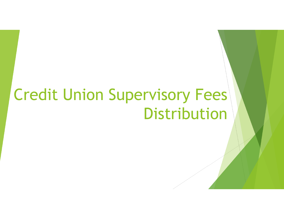# Credit Union Supervisory Fees Distribution